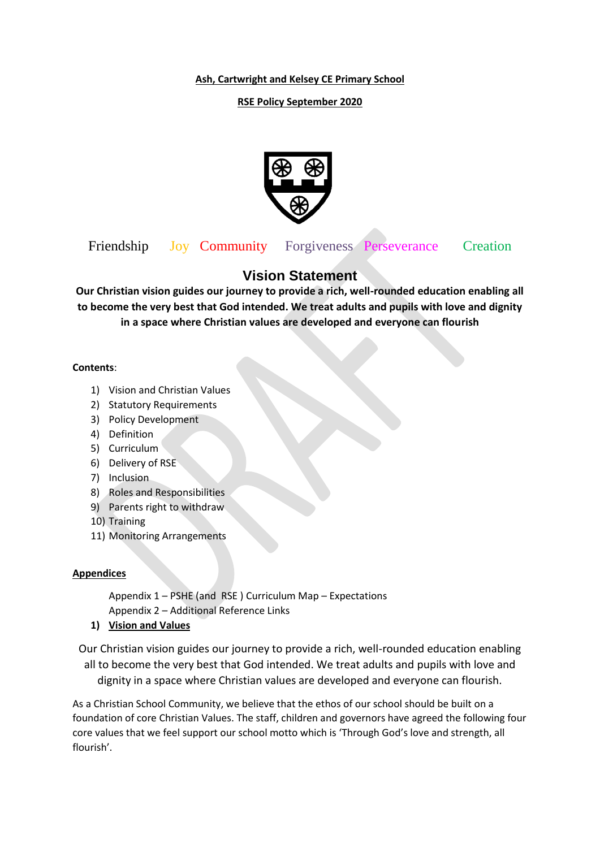**Ash, Cartwright and Kelsey CE Primary School**

### **RSE Policy September 2020**



Friendship Joy Community Forgiveness Perseverance Creation

# **Vision Statement**

**Our Christian vision guides our journey to provide a rich, well-rounded education enabling all to become the very best that God intended. We treat adults and pupils with love and dignity in a space where Christian values are developed and everyone can flourish**

#### **Contents**:

- 1) Vision and Christian Values
- 2) Statutory Requirements
- 3) Policy Development
- 4) Definition
- 5) Curriculum
- 6) Delivery of RSE
- 7) Inclusion
- 8) Roles and Responsibilities
- 9) Parents right to withdraw
- 10) Training
- 11) Monitoring Arrangements

### **Appendices**

Appendix 1 – PSHE (and RSE ) Curriculum Map – Expectations Appendix 2 – Additional Reference Links

**1) Vision and Values**

Our Christian vision guides our journey to provide a rich, well-rounded education enabling all to become the very best that God intended. We treat adults and pupils with love and dignity in a space where Christian values are developed and everyone can flourish.

As a Christian School Community, we believe that the ethos of our school should be built on a foundation of core Christian Values. The staff, children and governors have agreed the following four core values that we feel support our school motto which is 'Through God's love and strength, all flourish'.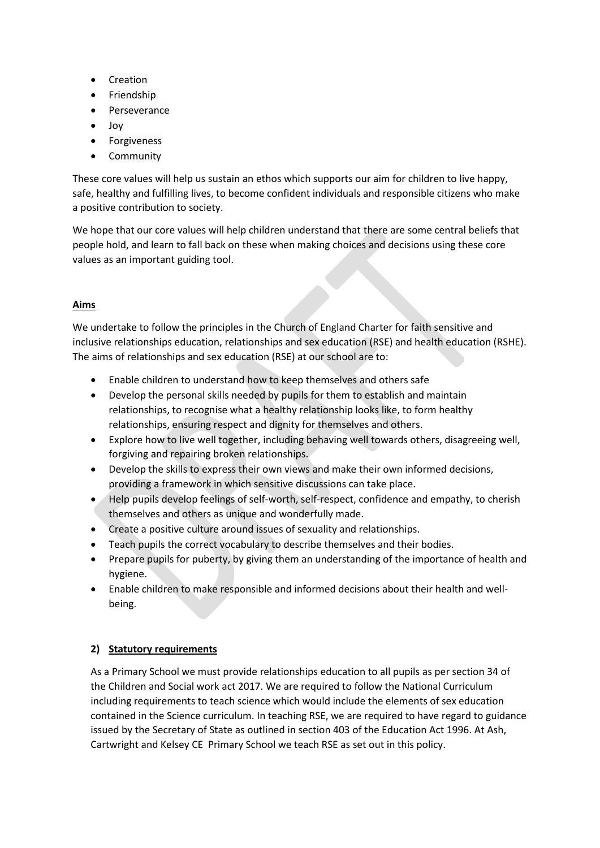- Creation
- Friendship
- Perseverance
- Joy
- **•** Forgiveness
- Community

These core values will help us sustain an ethos which supports our aim for children to live happy, safe, healthy and fulfilling lives, to become confident individuals and responsible citizens who make a positive contribution to society.

We hope that our core values will help children understand that there are some central beliefs that people hold, and learn to fall back on these when making choices and decisions using these core values as an important guiding tool.

## **Aims**

We undertake to follow the principles in the Church of England Charter for faith sensitive and inclusive relationships education, relationships and sex education (RSE) and health education (RSHE). The aims of relationships and sex education (RSE) at our school are to:

- Enable children to understand how to keep themselves and others safe
- Develop the personal skills needed by pupils for them to establish and maintain relationships, to recognise what a healthy relationship looks like, to form healthy relationships, ensuring respect and dignity for themselves and others.
- Explore how to live well together, including behaving well towards others, disagreeing well, forgiving and repairing broken relationships.
- Develop the skills to express their own views and make their own informed decisions, providing a framework in which sensitive discussions can take place.
- Help pupils develop feelings of self-worth, self-respect, confidence and empathy, to cherish themselves and others as unique and wonderfully made.
- Create a positive culture around issues of sexuality and relationships.
- Teach pupils the correct vocabulary to describe themselves and their bodies.
- Prepare pupils for puberty, by giving them an understanding of the importance of health and hygiene.
- Enable children to make responsible and informed decisions about their health and wellbeing.

### **2) Statutory requirements**

As a Primary School we must provide relationships education to all pupils as per section 34 of the Children and Social work act 2017. We are required to follow the National Curriculum including requirements to teach science which would include the elements of sex education contained in the Science curriculum. In teaching RSE, we are required to have regard to guidance issued by the Secretary of State as outlined in section 403 of the Education Act 1996. At Ash, Cartwright and Kelsey CE Primary School we teach RSE as set out in this policy.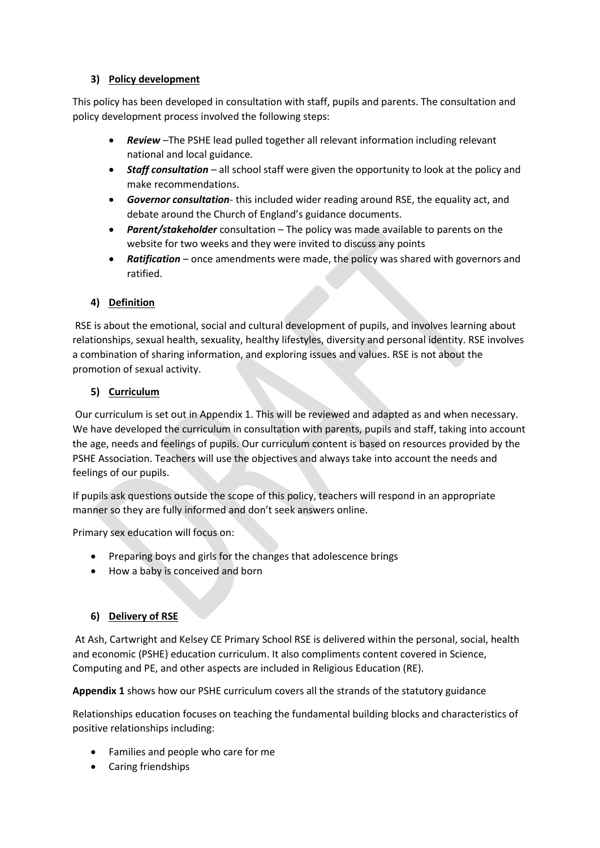### **3) Policy development**

This policy has been developed in consultation with staff, pupils and parents. The consultation and policy development process involved the following steps:

- *Review* –The PSHE lead pulled together all relevant information including relevant national and local guidance.
- *Staff consultation* all school staff were given the opportunity to look at the policy and make recommendations.
- *Governor consultation* this included wider reading around RSE, the equality act, and debate around the Church of England's guidance documents.
- *Parent/stakeholder* consultation The policy was made available to parents on the website for two weeks and they were invited to discuss any points
- *Ratification* once amendments were made, the policy was shared with governors and ratified.

## **4) Definition**

RSE is about the emotional, social and cultural development of pupils, and involves learning about relationships, sexual health, sexuality, healthy lifestyles, diversity and personal identity. RSE involves a combination of sharing information, and exploring issues and values. RSE is not about the promotion of sexual activity.

## **5) Curriculum**

Our curriculum is set out in Appendix 1. This will be reviewed and adapted as and when necessary. We have developed the curriculum in consultation with parents, pupils and staff, taking into account the age, needs and feelings of pupils. Our curriculum content is based on resources provided by the PSHE Association. Teachers will use the objectives and always take into account the needs and feelings of our pupils.

If pupils ask questions outside the scope of this policy, teachers will respond in an appropriate manner so they are fully informed and don't seek answers online.

Primary sex education will focus on:

- Preparing boys and girls for the changes that adolescence brings
- How a baby is conceived and born

### **6) Delivery of RSE**

At Ash, Cartwright and Kelsey CE Primary School RSE is delivered within the personal, social, health and economic (PSHE) education curriculum. It also compliments content covered in Science, Computing and PE, and other aspects are included in Religious Education (RE).

**Appendix 1** shows how our PSHE curriculum covers all the strands of the statutory guidance

Relationships education focuses on teaching the fundamental building blocks and characteristics of positive relationships including:

- Families and people who care for me
- Caring friendships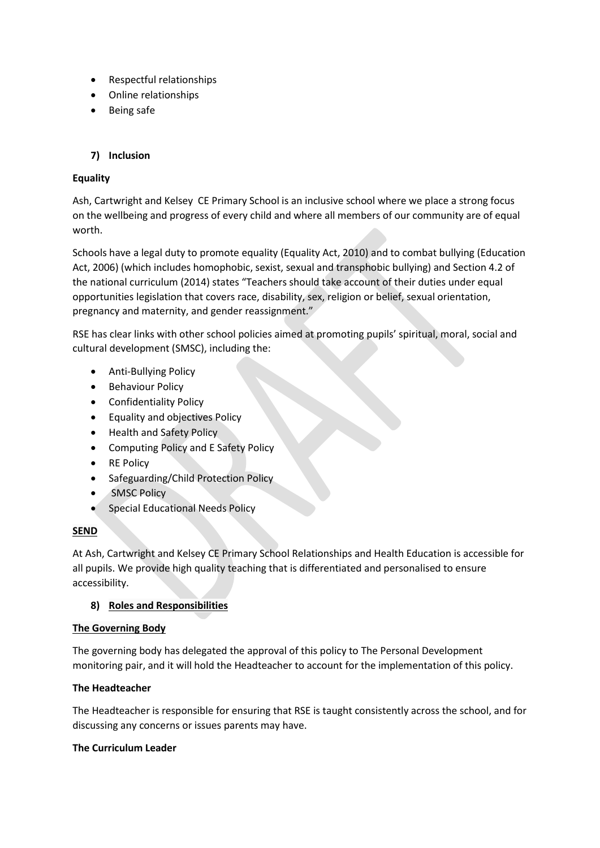- Respectful relationships
- Online relationships
- Being safe

### **7) Inclusion**

### **Equality**

Ash, Cartwright and Kelsey CE Primary School is an inclusive school where we place a strong focus on the wellbeing and progress of every child and where all members of our community are of equal worth.

Schools have a legal duty to promote equality (Equality Act, 2010) and to combat bullying (Education Act, 2006) (which includes homophobic, sexist, sexual and transphobic bullying) and Section 4.2 of the national curriculum (2014) states "Teachers should take account of their duties under equal opportunities legislation that covers race, disability, sex, religion or belief, sexual orientation, pregnancy and maternity, and gender reassignment."

RSE has clear links with other school policies aimed at promoting pupils' spiritual, moral, social and cultural development (SMSC), including the:

- Anti-Bullying Policy
- Behaviour Policy
- **•** Confidentiality Policy
- Equality and objectives Policy
- Health and Safety Policy
- Computing Policy and E Safety Policy
- RE Policy
- Safeguarding/Child Protection Policy
- **•** SMSC Policy
- **Special Educational Needs Policy**

#### **SEND**

At Ash, Cartwright and Kelsey CE Primary School Relationships and Health Education is accessible for all pupils. We provide high quality teaching that is differentiated and personalised to ensure accessibility.

### **8) Roles and Responsibilities**

#### **The Governing Body**

The governing body has delegated the approval of this policy to The Personal Development monitoring pair, and it will hold the Headteacher to account for the implementation of this policy.

### **The Headteacher**

The Headteacher is responsible for ensuring that RSE is taught consistently across the school, and for discussing any concerns or issues parents may have.

#### **The Curriculum Leader**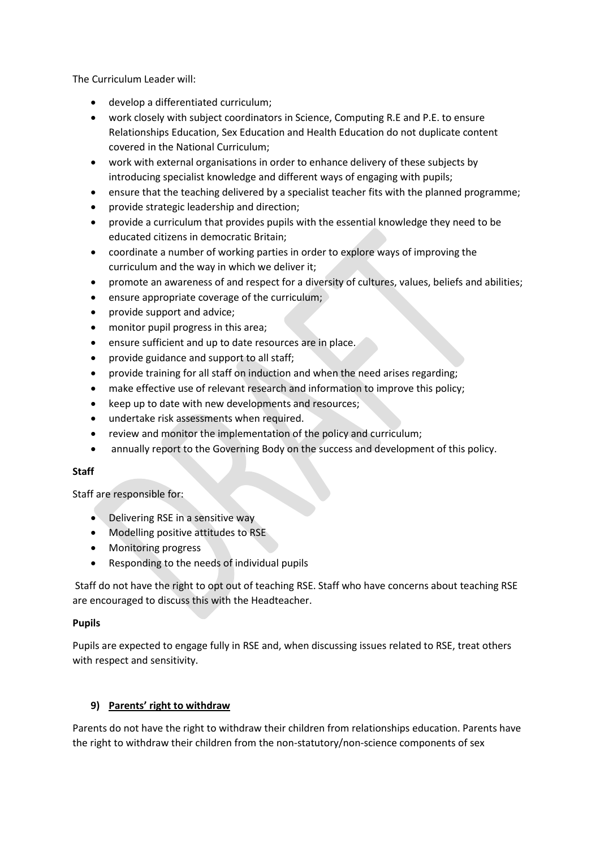The Curriculum Leader will:

- develop a differentiated curriculum;
- work closely with subject coordinators in Science, Computing R.E and P.E. to ensure Relationships Education, Sex Education and Health Education do not duplicate content covered in the National Curriculum;
- work with external organisations in order to enhance delivery of these subjects by introducing specialist knowledge and different ways of engaging with pupils;
- ensure that the teaching delivered by a specialist teacher fits with the planned programme;
- provide strategic leadership and direction;
- provide a curriculum that provides pupils with the essential knowledge they need to be educated citizens in democratic Britain;
- coordinate a number of working parties in order to explore ways of improving the curriculum and the way in which we deliver it;
- promote an awareness of and respect for a diversity of cultures, values, beliefs and abilities;
- $\bullet$  ensure appropriate coverage of the curriculum;
- provide support and advice;
- monitor pupil progress in this area;
- ensure sufficient and up to date resources are in place.
- provide guidance and support to all staff;
- provide training for all staff on induction and when the need arises regarding;
- make effective use of relevant research and information to improve this policy;
- keep up to date with new developments and resources;
- undertake risk assessments when required.
- review and monitor the implementation of the policy and curriculum;
- annually report to the Governing Body on the success and development of this policy.

#### **Staff**

Staff are responsible for:

- Delivering RSE in a sensitive way
- Modelling positive attitudes to RSE
- Monitoring progress
- Responding to the needs of individual pupils

Staff do not have the right to opt out of teaching RSE. Staff who have concerns about teaching RSE are encouraged to discuss this with the Headteacher.

#### **Pupils**

Pupils are expected to engage fully in RSE and, when discussing issues related to RSE, treat others with respect and sensitivity.

### **9) Parents' right to withdraw**

Parents do not have the right to withdraw their children from relationships education. Parents have the right to withdraw their children from the non-statutory/non-science components of sex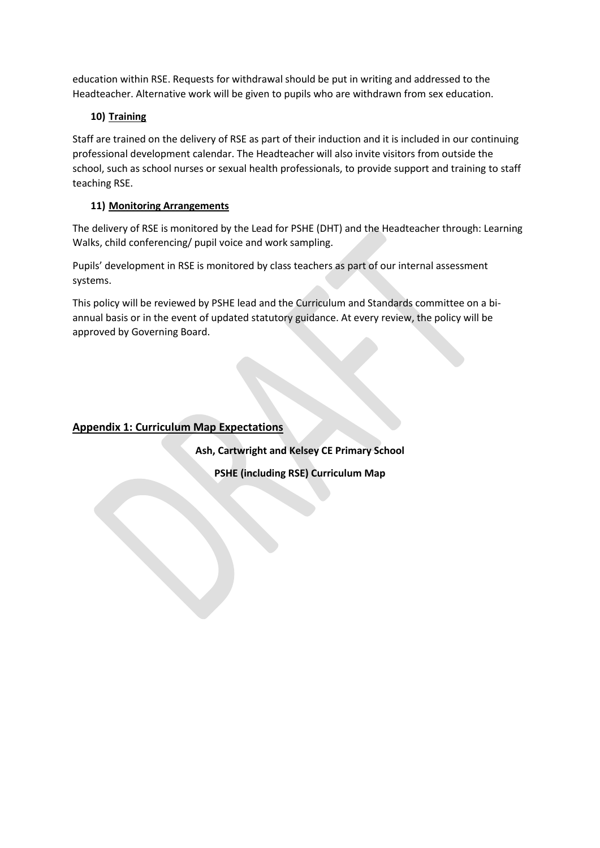education within RSE. Requests for withdrawal should be put in writing and addressed to the Headteacher. Alternative work will be given to pupils who are withdrawn from sex education.

## **10) Training**

Staff are trained on the delivery of RSE as part of their induction and it is included in our continuing professional development calendar. The Headteacher will also invite visitors from outside the school, such as school nurses or sexual health professionals, to provide support and training to staff teaching RSE.

## **11) Monitoring Arrangements**

The delivery of RSE is monitored by the Lead for PSHE (DHT) and the Headteacher through: Learning Walks, child conferencing/ pupil voice and work sampling.

Pupils' development in RSE is monitored by class teachers as part of our internal assessment systems.

This policy will be reviewed by PSHE lead and the Curriculum and Standards committee on a biannual basis or in the event of updated statutory guidance. At every review, the policy will be approved by Governing Board.

## **Appendix 1: Curriculum Map Expectations**

**Ash, Cartwright and Kelsey CE Primary School**

**PSHE (including RSE) Curriculum Map**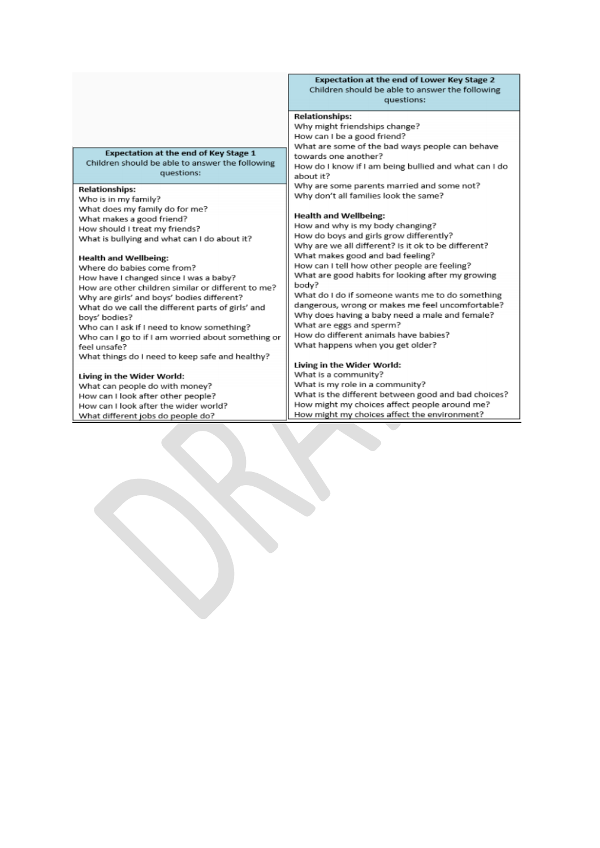#### **Expectation at the end of Lower Key Stage 2** Children should be able to answer the following questions:

#### **Relationships:**

Why might friendships change? How can I be a good friend? What are some of the bad ways people can behave towards one another? How do I know if I am being bullied and what can I do about it? Why are some parents married and some not? Why don't all families look the same?

#### **Health and Wellbeing:**

How and why is my body changing? How do boys and girls grow differently? Why are we all different? Is it ok to be different? What makes good and bad feeling? How can I tell how other people are feeling? What are good habits for looking after my growing body? What do I do if someone wants me to do something dangerous, wrong or makes me feel uncomfortable? Why does having a baby need a male and female? What are eggs and sperm? How do different animals have babies? What happens when you get older?

#### Living in the Wider World:

What is a community? What is my role in a community? What is the different between good and bad choices? How might my choices affect people around me? How might my choices affect the environment?

**Expectation at the end of Key Stage 1** Children should be able to answer the following questions:

#### **Relationships:**

Who is in my family? What does my family do for me? What makes a good friend? How should I treat my friends? What is bullying and what can I do about it?

#### **Health and Wellbeing:**

Where do babies come from? How have I changed since I was a baby? How are other children similar or different to me? Why are girls' and boys' bodies different? What do we call the different parts of girls' and boys' bodies? Who can I ask if I need to know something? Who can I go to if I am worried about something or feel unsafe? What things do I need to keep safe and healthy? Living in the Wider World:

What can people do with money? How can I look after other people? How can I look after the wider world? What different jobs do people do?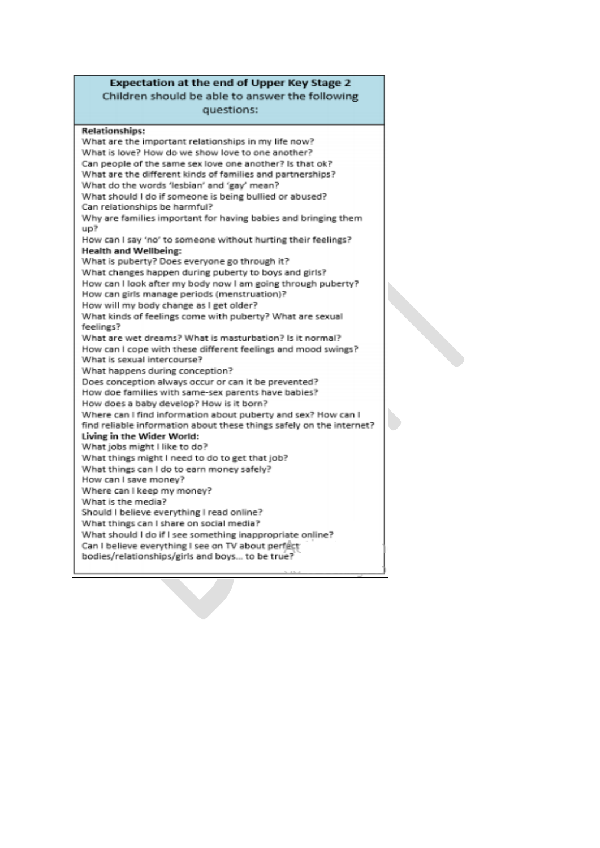#### Expectation at the end of Upper Key Stage 2 Children should be able to answer the following questions:

**Relationships:** What are the important relationships in my life now? What is love? How do we show love to one another? Can people of the same sex love one another? Is that ok? What are the different kinds of families and partnerships? What do the words 'lesbian' and 'gay' mean? What should I do if someone is being bullied or abused? Can relationships be harmful? Why are families important for having babies and bringing them  $UD<sup>2</sup>$ How can I say 'no' to someone without hurting their feelings? **Health and Wellbeing:** What is puberty? Does everyone go through it? What changes happen during puberty to boys and girls? How can I look after my body now I am going through puberty? How can girls manage periods (menstruation)? How will my body change as I get older? What kinds of feelings come with puberty? What are sexual feelings? What are wet dreams? What is masturbation? Is it normal? How can I cope with these different feelings and mood swings? What is sexual intercourse? What happens during conception? Does conception always occur or can it be prevented? How doe families with same-sex parents have babies? How does a baby develop? How is it born? Where can I find information about puberty and sex? How can I find reliable information about these things safely on the internet? Living in the Wider World: What jobs might I like to do? What things might I need to do to get that job? What things can I do to earn money safely? How can I save money? Where can I keep my money? What is the media? Should I believe everything I read online? What things can I share on social media? What should I do if I see something inappropriate online? Can I believe everything I see on TV about perfect bodies/relationships/girls and boys... to be true?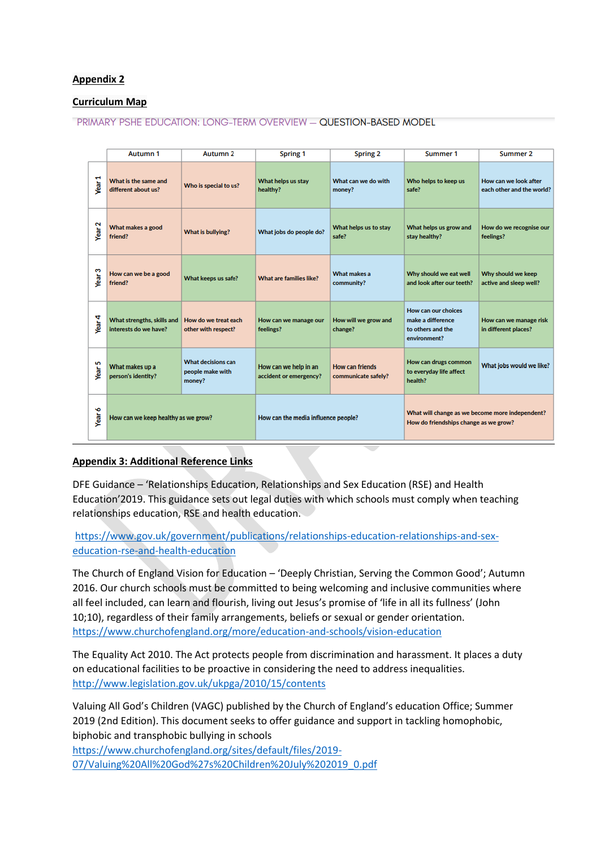#### **Appendix 2**

#### **Curriculum Map**

#### **PRIMARY PSHE EDUCATION: LONG-TERM OVERVIEW - QUESTION-BASED MODEL**

|                   | Autumn 1                                            | Autumn <sub>2</sub>                                     | Spring 1                                        | <b>Spring 2</b>                               | Summer 1                                                                                 | Summer 2                                           |
|-------------------|-----------------------------------------------------|---------------------------------------------------------|-------------------------------------------------|-----------------------------------------------|------------------------------------------------------------------------------------------|----------------------------------------------------|
| ÷<br><b>Year:</b> | What is the same and<br>different about us?         | Who is special to us?                                   | What helps us stay<br>healthy?                  | What can we do with<br>money?                 | Who helps to keep us<br>safe?                                                            | How can we look after<br>each other and the world? |
| Year <sub>2</sub> | What makes a good<br>friend?                        | What is bullying?                                       | What jobs do people do?                         | What helps us to stay<br>safe?                | What helps us grow and<br>stay healthy?                                                  | How do we recognise our<br>feelings?               |
| Year <sub>3</sub> | How can we be a good<br>friend?                     | What keeps us safe?                                     | <b>What are families like?</b>                  | <b>What makes a</b><br>community?             | Why should we eat well<br>and look after our teeth?                                      | Why should we keep<br>active and sleep well?       |
| Year 4            | What strengths, skills and<br>interests do we have? | How do we treat each<br>other with respect?             | How can we manage our<br>feelings?              | How will we grow and<br>change?               | How can our choices<br>make a difference<br>to others and the<br>environment?            | How can we manage risk<br>in different places?     |
| Year <sub>5</sub> | What makes up a<br>person's identity?               | <b>What decisions can</b><br>people make with<br>money? | How can we help in an<br>accident or emergency? | <b>How can friends</b><br>communicate safely? | How can drugs common<br>to everyday life affect<br>health?                               | What jobs would we like?                           |
| Year 6            | How can we keep healthy as we grow?                 |                                                         | How can the media influence people?             |                                               | What will change as we become more independent?<br>How do friendships change as we grow? |                                                    |

#### **Appendix 3: Additional Reference Links**

DFE Guidance – 'Relationships Education, Relationships and Sex Education (RSE) and Health Education'2019. This guidance sets out legal duties with which schools must comply when teaching relationships education, RSE and health education.

[https://www.gov.uk/government/publications/relationships-education-relationships-and-sex](https://www.gov.uk/government/publications/relationships-education-relationships-and-sex-education-rse-and-health-education)[education-rse-and-health-education](https://www.gov.uk/government/publications/relationships-education-relationships-and-sex-education-rse-and-health-education)

The Church of England Vision for Education – 'Deeply Christian, Serving the Common Good'; Autumn 2016. Our church schools must be committed to being welcoming and inclusive communities where all feel included, can learn and flourish, living out Jesus's promise of 'life in all its fullness' (John 10;10), regardless of their family arrangements, beliefs or sexual or gender orientation. <https://www.churchofengland.org/more/education-and-schools/vision-education>

The Equality Act 2010. The Act protects people from discrimination and harassment. It places a duty on educational facilities to be proactive in considering the need to address inequalities. <http://www.legislation.gov.uk/ukpga/2010/15/contents>

Valuing All God's Children (VAGC) published by the Church of England's education Office; Summer 2019 (2nd Edition). This document seeks to offer guidance and support in tackling homophobic, biphobic and transphobic bullying in schools

[https://www.churchofengland.org/sites/default/files/2019-](https://www.churchofengland.org/sites/default/files/2019-07/Valuing%20All%20God%27s%20Children%20July%202019_0.pdf) [07/Valuing%20All%20God%27s%20Children%20July%202019\\_0.pdf](https://www.churchofengland.org/sites/default/files/2019-07/Valuing%20All%20God%27s%20Children%20July%202019_0.pdf)